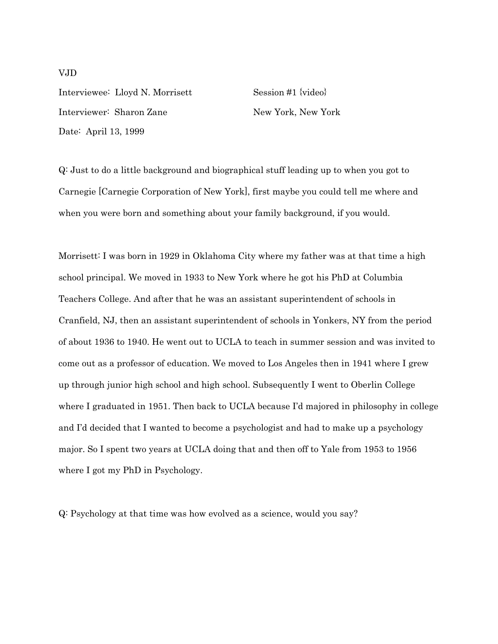Interviewee: Lloyd N. Morrisett Session #1 {video} Interviewer: Sharon Zane New York, New York Date: April 13, 1999

Q: Just to do a little background and biographical stuff leading up to when you got to Carnegie [Carnegie Corporation of New York], first maybe you could tell me where and when you were born and something about your family background, if you would.

Morrisett: I was born in 1929 in Oklahoma City where my father was at that time a high school principal. We moved in 1933 to New York where he got his PhD at Columbia Teachers College. And after that he was an assistant superintendent of schools in Cranfield, NJ, then an assistant superintendent of schools in Yonkers, NY from the period of about 1936 to 1940. He went out to UCLA to teach in summer session and was invited to come out as a professor of education. We moved to Los Angeles then in 1941 where I grew up through junior high school and high school. Subsequently I went to Oberlin College where I graduated in 1951. Then back to UCLA because I'd majored in philosophy in college and I'd decided that I wanted to become a psychologist and had to make up a psychology major. So I spent two years at UCLA doing that and then off to Yale from 1953 to 1956 where I got my PhD in Psychology.

Q: Psychology at that time was how evolved as a science, would you say?

# VJD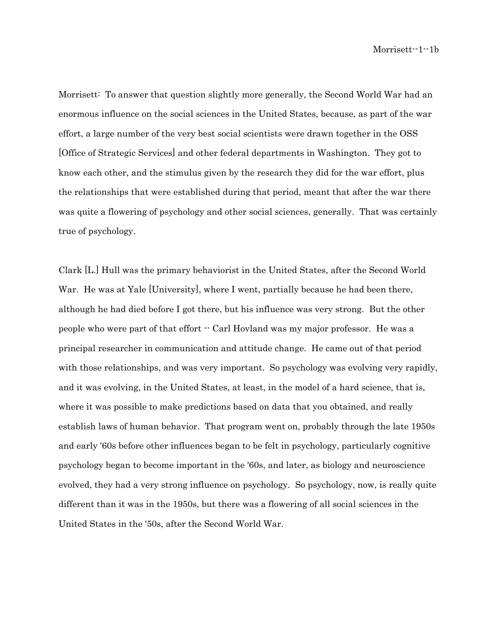Morrisett--1--1b

Morrisett: To answer that question slightly more generally, the Second World War had an enormous influence on the social sciences in the United States, because, as part of the war effort, a large number of the very best social scientists were drawn together in the OSS [Office of Strategic Services] and other federal departments in Washington. They got to know each other, and the stimulus given by the research they did for the war effort, plus the relationships that were established during that period, meant that after the war there was quite a flowering of psychology and other social sciences, generally. That was certainly true of psychology.

Clark [L.] Hull was the primary behaviorist in the United States, after the Second World War. He was at Yale [University], where I went, partially because he had been there, although he had died before I got there, but his influence was very strong. But the other people who were part of that effort  $\cdot$  Carl Hovland was my major professor. He was a principal researcher in communication and attitude change. He came out of that period with those relationships, and was very important. So psychology was evolving very rapidly, and it was evolving, in the United States, at least, in the model of a hard science, that is, where it was possible to make predictions based on data that you obtained, and really establish laws of human behavior. That program went on, probably through the late 1950s and early '60s before other influences began to be felt in psychology, particularly cognitive psychology began to become important in the '60s, and later, as biology and neuroscience evolved, they had a very strong influence on psychology. So psychology, now, is really quite different than it was in the 1950s, but there was a flowering of all social sciences in the United States in the '50s, after the Second World War.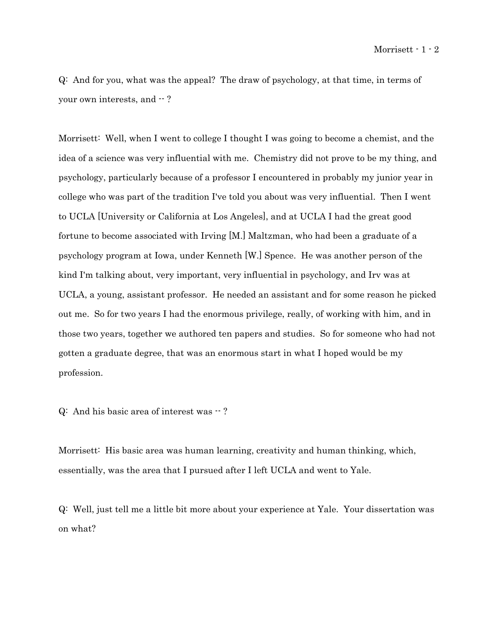Morrisett - 1 - 2

Q: And for you, what was the appeal? The draw of psychology, at that time, in terms of your own interests, and  $-$  ?

Morrisett: Well, when I went to college I thought I was going to become a chemist, and the idea of a science was very influential with me. Chemistry did not prove to be my thing, and psychology, particularly because of a professor I encountered in probably my junior year in college who was part of the tradition I've told you about was very influential. Then I went to UCLA [University or California at Los Angeles], and at UCLA I had the great good fortune to become associated with Irving [M.] Maltzman, who had been a graduate of a psychology program at Iowa, under Kenneth [W.] Spence. He was another person of the kind I'm talking about, very important, very influential in psychology, and Irv was at UCLA, a young, assistant professor. He needed an assistant and for some reason he picked out me. So for two years I had the enormous privilege, really, of working with him, and in those two years, together we authored ten papers and studies. So for someone who had not gotten a graduate degree, that was an enormous start in what I hoped would be my profession.

Q: And his basic area of interest was  $-$ ?

Morrisett: His basic area was human learning, creativity and human thinking, which, essentially, was the area that I pursued after I left UCLA and went to Yale.

Q: Well, just tell me a little bit more about your experience at Yale. Your dissertation was on what?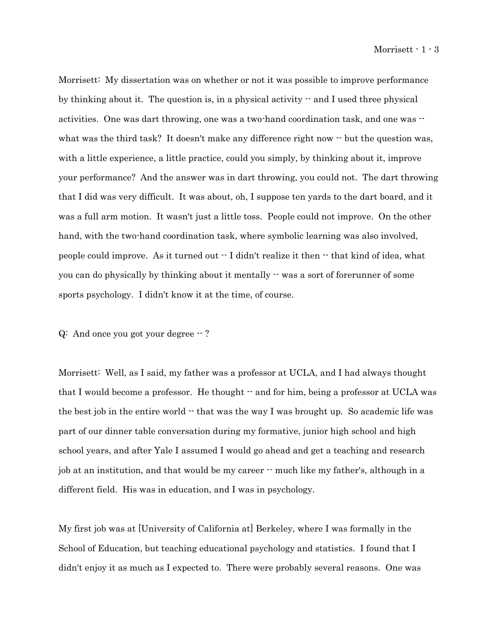Morrisett: My dissertation was on whether or not it was possible to improve performance by thinking about it. The question is, in a physical activity  $-$  and I used three physical activities. One was dart throwing, one was a two-hand coordination task, and one was  $$ what was the third task? It doesn't make any difference right now  $\cdot$  but the question was, with a little experience, a little practice, could you simply, by thinking about it, improve your performance? And the answer was in dart throwing, you could not. The dart throwing that I did was very difficult. It was about, oh, I suppose ten yards to the dart board, and it was a full arm motion. It wasn't just a little toss. People could not improve. On the other hand, with the two-hand coordination task, where symbolic learning was also involved, people could improve. As it turned out  $\cdot$  I didn't realize it then  $\cdot$  that kind of idea, what you can do physically by thinking about it mentally  $\cdot$  was a sort of forerunner of some sports psychology. I didn't know it at the time, of course.

## Q: And once you got your degree  $-$  ?

Morrisett: Well, as I said, my father was a professor at UCLA, and I had always thought that I would become a professor. He thought  $\cdot$  and for him, being a professor at UCLA was the best job in the entire world  $\cdot$  that was the way I was brought up. So academic life was part of our dinner table conversation during my formative, junior high school and high school years, and after Yale I assumed I would go ahead and get a teaching and research job at an institution, and that would be my career  $\cdot$  much like my father's, although in a different field. His was in education, and I was in psychology.

My first job was at [University of California at] Berkeley, where I was formally in the School of Education, but teaching educational psychology and statistics. I found that I didn't enjoy it as much as I expected to. There were probably several reasons. One was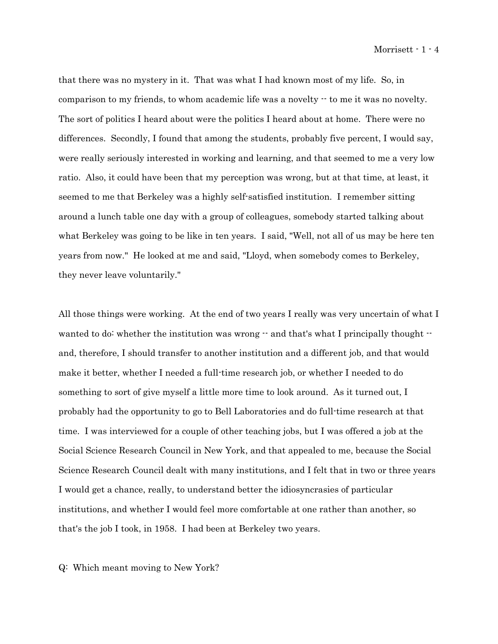that there was no mystery in it. That was what I had known most of my life. So, in comparison to my friends, to whom academic life was a novelty -- to me it was no novelty. The sort of politics I heard about were the politics I heard about at home. There were no differences. Secondly, I found that among the students, probably five percent, I would say, were really seriously interested in working and learning, and that seemed to me a very low ratio. Also, it could have been that my perception was wrong, but at that time, at least, it seemed to me that Berkeley was a highly self-satisfied institution. I remember sitting around a lunch table one day with a group of colleagues, somebody started talking about what Berkeley was going to be like in ten years. I said, "Well, not all of us may be here ten years from now." He looked at me and said, "Lloyd, when somebody comes to Berkeley, they never leave voluntarily."

All those things were working. At the end of two years I really was very uncertain of what I wanted to do: whether the institution was wrong  $\cdot$  and that's what I principally thought  $\cdot$ and, therefore, I should transfer to another institution and a different job, and that would make it better, whether I needed a full-time research job, or whether I needed to do something to sort of give myself a little more time to look around. As it turned out, I probably had the opportunity to go to Bell Laboratories and do full-time research at that time. I was interviewed for a couple of other teaching jobs, but I was offered a job at the Social Science Research Council in New York, and that appealed to me, because the Social Science Research Council dealt with many institutions, and I felt that in two or three years I would get a chance, really, to understand better the idiosyncrasies of particular institutions, and whether I would feel more comfortable at one rather than another, so that's the job I took, in 1958. I had been at Berkeley two years.

Q: Which meant moving to New York?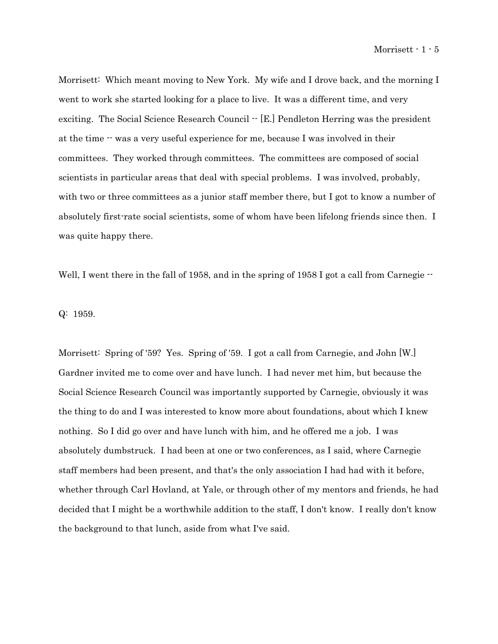Morrisett: Which meant moving to New York. My wife and I drove back, and the morning I went to work she started looking for a place to live. It was a different time, and very exciting. The Social Science Research Council  $\cdot$  [E.] Pendleton Herring was the president at the time -- was a very useful experience for me, because I was involved in their committees. They worked through committees. The committees are composed of social scientists in particular areas that deal with special problems. I was involved, probably, with two or three committees as a junior staff member there, but I got to know a number of absolutely first-rate social scientists, some of whom have been lifelong friends since then. I was quite happy there.

Well, I went there in the fall of 1958, and in the spring of 1958 I got a call from Carnegie  $\cdot$ 

Q: 1959.

Morrisett: Spring of '59? Yes. Spring of '59. I got a call from Carnegie, and John [W.] Gardner invited me to come over and have lunch. I had never met him, but because the Social Science Research Council was importantly supported by Carnegie, obviously it was the thing to do and I was interested to know more about foundations, about which I knew nothing. So I did go over and have lunch with him, and he offered me a job. I was absolutely dumbstruck. I had been at one or two conferences, as I said, where Carnegie staff members had been present, and that's the only association I had had with it before, whether through Carl Hovland, at Yale, or through other of my mentors and friends, he had decided that I might be a worthwhile addition to the staff, I don't know. I really don't know the background to that lunch, aside from what I've said.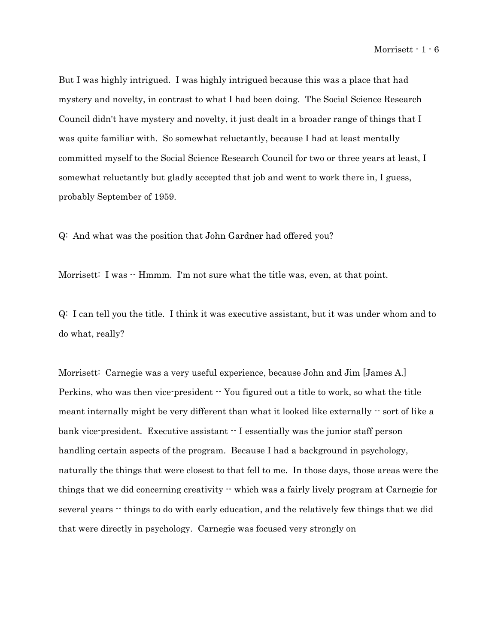But I was highly intrigued. I was highly intrigued because this was a place that had mystery and novelty, in contrast to what I had been doing. The Social Science Research Council didn't have mystery and novelty, it just dealt in a broader range of things that I was quite familiar with. So somewhat reluctantly, because I had at least mentally committed myself to the Social Science Research Council for two or three years at least, I somewhat reluctantly but gladly accepted that job and went to work there in, I guess, probably September of 1959.

Q: And what was the position that John Gardner had offered you?

Morrisett: I was  $\cdot$  Hmmm. I'm not sure what the title was, even, at that point.

Q: I can tell you the title. I think it was executive assistant, but it was under whom and to do what, really?

Morrisett: Carnegie was a very useful experience, because John and Jim [James A.] Perkins, who was then vice-president  $\cdot$  You figured out a title to work, so what the title meant internally might be very different than what it looked like externally  $\cdot$  sort of like a bank vice-president. Executive assistant  $\cdot$  I essentially was the junior staff person handling certain aspects of the program. Because I had a background in psychology, naturally the things that were closest to that fell to me. In those days, those areas were the things that we did concerning creativity -- which was a fairly lively program at Carnegie for several years  $\cdot$  things to do with early education, and the relatively few things that we did that were directly in psychology. Carnegie was focused very strongly on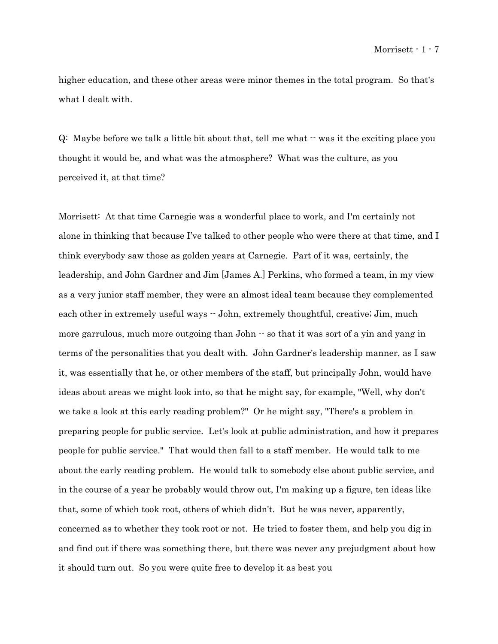higher education, and these other areas were minor themes in the total program. So that's what I dealt with.

 $Q:$  Maybe before we talk a little bit about that, tell me what  $\cdot \cdot$  was it the exciting place you thought it would be, and what was the atmosphere? What was the culture, as you perceived it, at that time?

Morrisett: At that time Carnegie was a wonderful place to work, and I'm certainly not alone in thinking that because I've talked to other people who were there at that time, and I think everybody saw those as golden years at Carnegie. Part of it was, certainly, the leadership, and John Gardner and Jim [James A.] Perkins, who formed a team, in my view as a very junior staff member, they were an almost ideal team because they complemented each other in extremely useful ways  $\cdot$  John, extremely thoughtful, creative; Jim, much more garrulous, much more outgoing than John -- so that it was sort of a yin and yang in terms of the personalities that you dealt with. John Gardner's leadership manner, as I saw it, was essentially that he, or other members of the staff, but principally John, would have ideas about areas we might look into, so that he might say, for example, "Well, why don't we take a look at this early reading problem?" Or he might say, "There's a problem in preparing people for public service. Let's look at public administration, and how it prepares people for public service." That would then fall to a staff member. He would talk to me about the early reading problem. He would talk to somebody else about public service, and in the course of a year he probably would throw out, I'm making up a figure, ten ideas like that, some of which took root, others of which didn't. But he was never, apparently, concerned as to whether they took root or not. He tried to foster them, and help you dig in and find out if there was something there, but there was never any prejudgment about how it should turn out. So you were quite free to develop it as best you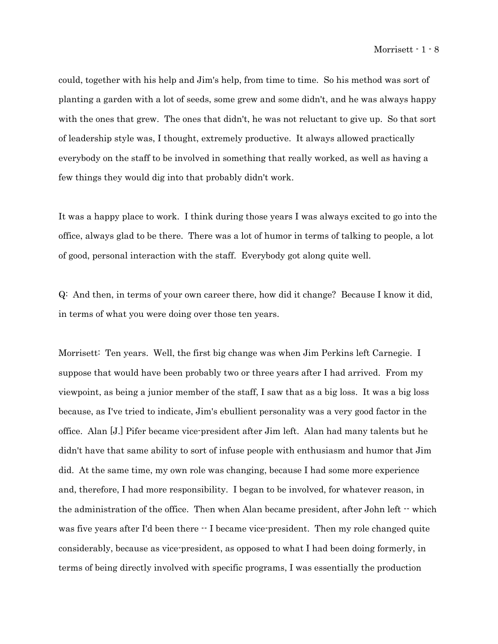could, together with his help and Jim's help, from time to time. So his method was sort of planting a garden with a lot of seeds, some grew and some didn't, and he was always happy with the ones that grew. The ones that didn't, he was not reluctant to give up. So that sort of leadership style was, I thought, extremely productive. It always allowed practically everybody on the staff to be involved in something that really worked, as well as having a few things they would dig into that probably didn't work.

It was a happy place to work. I think during those years I was always excited to go into the office, always glad to be there. There was a lot of humor in terms of talking to people, a lot of good, personal interaction with the staff. Everybody got along quite well.

Q: And then, in terms of your own career there, how did it change? Because I know it did, in terms of what you were doing over those ten years.

Morrisett: Ten years. Well, the first big change was when Jim Perkins left Carnegie. I suppose that would have been probably two or three years after I had arrived. From my viewpoint, as being a junior member of the staff, I saw that as a big loss. It was a big loss because, as I've tried to indicate, Jim's ebullient personality was a very good factor in the office. Alan [J.] Pifer became vice-president after Jim left. Alan had many talents but he didn't have that same ability to sort of infuse people with enthusiasm and humor that Jim did. At the same time, my own role was changing, because I had some more experience and, therefore, I had more responsibility. I began to be involved, for whatever reason, in the administration of the office. Then when Alan became president, after John left  $\cdot$  which was five years after I'd been there  $\cdot$  I became vice-president. Then my role changed quite considerably, because as vice-president, as opposed to what I had been doing formerly, in terms of being directly involved with specific programs, I was essentially the production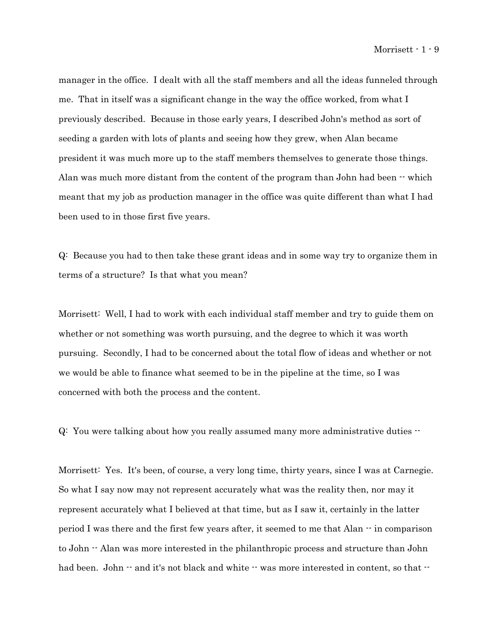manager in the office. I dealt with all the staff members and all the ideas funneled through me. That in itself was a significant change in the way the office worked, from what I previously described. Because in those early years, I described John's method as sort of seeding a garden with lots of plants and seeing how they grew, when Alan became president it was much more up to the staff members themselves to generate those things. Alan was much more distant from the content of the program than John had been  $\cdot \cdot$  which meant that my job as production manager in the office was quite different than what I had been used to in those first five years.

Q: Because you had to then take these grant ideas and in some way try to organize them in terms of a structure? Is that what you mean?

Morrisett: Well, I had to work with each individual staff member and try to guide them on whether or not something was worth pursuing, and the degree to which it was worth pursuing. Secondly, I had to be concerned about the total flow of ideas and whether or not we would be able to finance what seemed to be in the pipeline at the time, so I was concerned with both the process and the content.

Q: You were talking about how you really assumed many more administrative duties --

Morrisett: Yes. It's been, of course, a very long time, thirty years, since I was at Carnegie. So what I say now may not represent accurately what was the reality then, nor may it represent accurately what I believed at that time, but as I saw it, certainly in the latter period I was there and the first few years after, it seemed to me that Alan  $\cdot\cdot$  in comparison to John -- Alan was more interested in the philanthropic process and structure than John had been. John -- and it's not black and white -- was more interested in content, so that --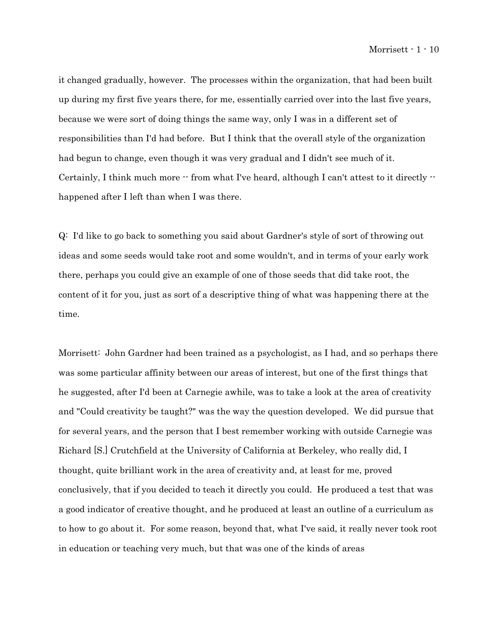it changed gradually, however. The processes within the organization, that had been built up during my first five years there, for me, essentially carried over into the last five years, because we were sort of doing things the same way, only I was in a different set of responsibilities than I'd had before. But I think that the overall style of the organization had begun to change, even though it was very gradual and I didn't see much of it. Certainly, I think much more -- from what I've heard, although I can't attest to it directly -happened after I left than when I was there.

Q: I'd like to go back to something you said about Gardner's style of sort of throwing out ideas and some seeds would take root and some wouldn't, and in terms of your early work there, perhaps you could give an example of one of those seeds that did take root, the content of it for you, just as sort of a descriptive thing of what was happening there at the time.

Morrisett: John Gardner had been trained as a psychologist, as I had, and so perhaps there was some particular affinity between our areas of interest, but one of the first things that he suggested, after I'd been at Carnegie awhile, was to take a look at the area of creativity and "Could creativity be taught?" was the way the question developed. We did pursue that for several years, and the person that I best remember working with outside Carnegie was Richard [S.] Crutchfield at the University of California at Berkeley, who really did, I thought, quite brilliant work in the area of creativity and, at least for me, proved conclusively, that if you decided to teach it directly you could. He produced a test that was a good indicator of creative thought, and he produced at least an outline of a curriculum as to how to go about it. For some reason, beyond that, what I've said, it really never took root in education or teaching very much, but that was one of the kinds of areas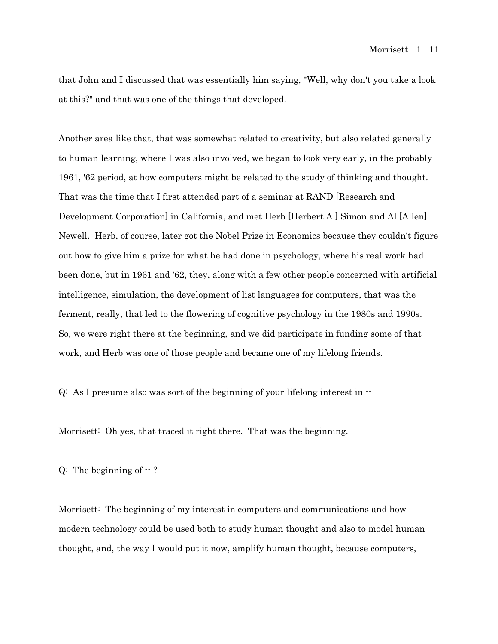that John and I discussed that was essentially him saying, "Well, why don't you take a look at this?" and that was one of the things that developed.

Another area like that, that was somewhat related to creativity, but also related generally to human learning, where I was also involved, we began to look very early, in the probably 1961, '62 period, at how computers might be related to the study of thinking and thought. That was the time that I first attended part of a seminar at RAND [Research and Development Corporation] in California, and met Herb [Herbert A.] Simon and Al [Allen] Newell. Herb, of course, later got the Nobel Prize in Economics because they couldn't figure out how to give him a prize for what he had done in psychology, where his real work had been done, but in 1961 and '62, they, along with a few other people concerned with artificial intelligence, simulation, the development of list languages for computers, that was the ferment, really, that led to the flowering of cognitive psychology in the 1980s and 1990s. So, we were right there at the beginning, and we did participate in funding some of that work, and Herb was one of those people and became one of my lifelong friends.

 $Q:$  As I presume also was sort of the beginning of your lifelong interest in  $\cdot$ 

Morrisett: Oh yes, that traced it right there. That was the beginning.

 $Q:$  The beginning of  $-$  ?

Morrisett: The beginning of my interest in computers and communications and how modern technology could be used both to study human thought and also to model human thought, and, the way I would put it now, amplify human thought, because computers,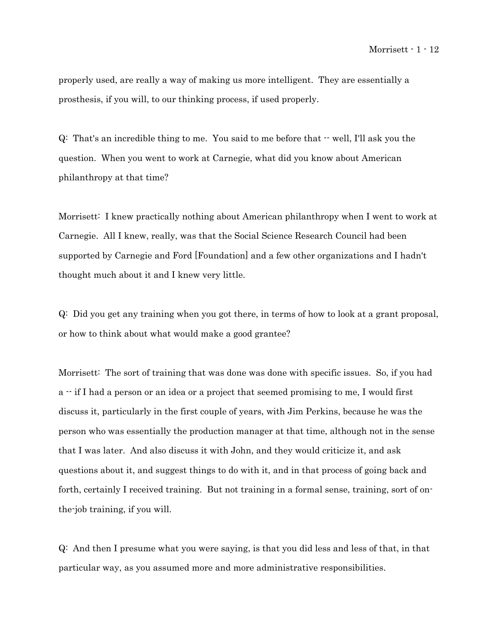properly used, are really a way of making us more intelligent. They are essentially a prosthesis, if you will, to our thinking process, if used properly.

Q: That's an incredible thing to me. You said to me before that -- well, I'll ask you the question. When you went to work at Carnegie, what did you know about American philanthropy at that time?

Morrisett: I knew practically nothing about American philanthropy when I went to work at Carnegie. All I knew, really, was that the Social Science Research Council had been supported by Carnegie and Ford [Foundation] and a few other organizations and I hadn't thought much about it and I knew very little.

Q: Did you get any training when you got there, in terms of how to look at a grant proposal, or how to think about what would make a good grantee?

Morrisett: The sort of training that was done was done with specific issues. So, if you had a -- if I had a person or an idea or a project that seemed promising to me, I would first discuss it, particularly in the first couple of years, with Jim Perkins, because he was the person who was essentially the production manager at that time, although not in the sense that I was later. And also discuss it with John, and they would criticize it, and ask questions about it, and suggest things to do with it, and in that process of going back and forth, certainly I received training. But not training in a formal sense, training, sort of onthe-job training, if you will.

Q: And then I presume what you were saying, is that you did less and less of that, in that particular way, as you assumed more and more administrative responsibilities.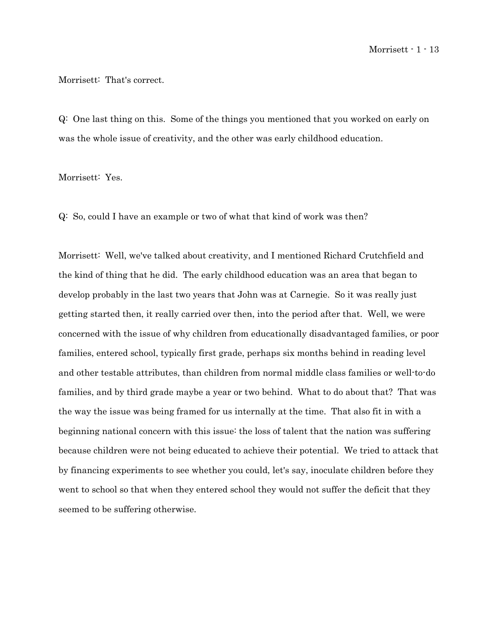Morrisett - 1 - 13

Morrisett: That's correct.

Q: One last thing on this. Some of the things you mentioned that you worked on early on was the whole issue of creativity, and the other was early childhood education.

Morrisett: Yes.

Q: So, could I have an example or two of what that kind of work was then?

Morrisett: Well, we've talked about creativity, and I mentioned Richard Crutchfield and the kind of thing that he did. The early childhood education was an area that began to develop probably in the last two years that John was at Carnegie. So it was really just getting started then, it really carried over then, into the period after that. Well, we were concerned with the issue of why children from educationally disadvantaged families, or poor families, entered school, typically first grade, perhaps six months behind in reading level and other testable attributes, than children from normal middle class families or well-to-do families, and by third grade maybe a year or two behind. What to do about that? That was the way the issue was being framed for us internally at the time. That also fit in with a beginning national concern with this issue: the loss of talent that the nation was suffering because children were not being educated to achieve their potential. We tried to attack that by financing experiments to see whether you could, let's say, inoculate children before they went to school so that when they entered school they would not suffer the deficit that they seemed to be suffering otherwise.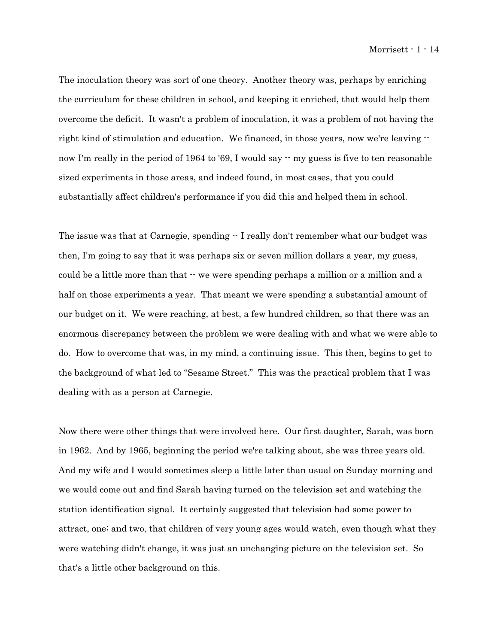The inoculation theory was sort of one theory. Another theory was, perhaps by enriching the curriculum for these children in school, and keeping it enriched, that would help them overcome the deficit. It wasn't a problem of inoculation, it was a problem of not having the right kind of stimulation and education. We financed, in those years, now we're leaving  $$ now I'm really in the period of 1964 to '69, I would say  $\cdot$  my guess is five to ten reasonable sized experiments in those areas, and indeed found, in most cases, that you could substantially affect children's performance if you did this and helped them in school.

The issue was that at Carnegie, spending  $-$  I really don't remember what our budget was then, I'm going to say that it was perhaps six or seven million dollars a year, my guess, could be a little more than that  $\cdot \cdot$  we were spending perhaps a million or a million and a half on those experiments a year. That meant we were spending a substantial amount of our budget on it. We were reaching, at best, a few hundred children, so that there was an enormous discrepancy between the problem we were dealing with and what we were able to do. How to overcome that was, in my mind, a continuing issue. This then, begins to get to the background of what led to "Sesame Street." This was the practical problem that I was dealing with as a person at Carnegie.

Now there were other things that were involved here. Our first daughter, Sarah, was born in 1962. And by 1965, beginning the period we're talking about, she was three years old. And my wife and I would sometimes sleep a little later than usual on Sunday morning and we would come out and find Sarah having turned on the television set and watching the station identification signal. It certainly suggested that television had some power to attract, one; and two, that children of very young ages would watch, even though what they were watching didn't change, it was just an unchanging picture on the television set. So that's a little other background on this.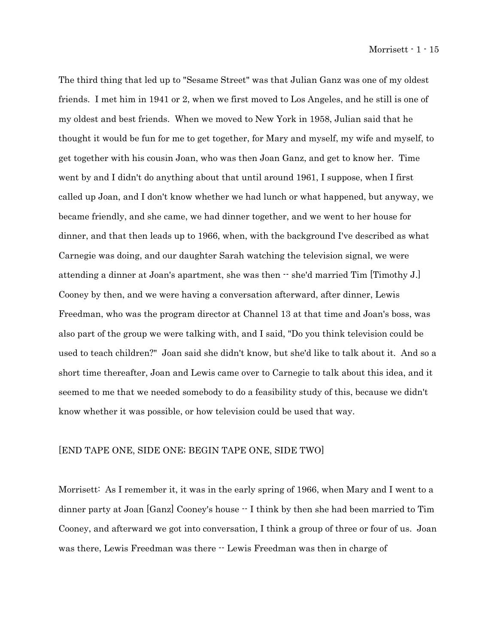The third thing that led up to "Sesame Street" was that Julian Ganz was one of my oldest friends. I met him in 1941 or 2, when we first moved to Los Angeles, and he still is one of my oldest and best friends. When we moved to New York in 1958, Julian said that he thought it would be fun for me to get together, for Mary and myself, my wife and myself, to get together with his cousin Joan, who was then Joan Ganz, and get to know her. Time went by and I didn't do anything about that until around 1961, I suppose, when I first called up Joan, and I don't know whether we had lunch or what happened, but anyway, we became friendly, and she came, we had dinner together, and we went to her house for dinner, and that then leads up to 1966, when, with the background I've described as what Carnegie was doing, and our daughter Sarah watching the television signal, we were attending a dinner at Joan's apartment, she was then  $\cdot$  she'd married Tim [Timothy J.] Cooney by then, and we were having a conversation afterward, after dinner, Lewis Freedman, who was the program director at Channel 13 at that time and Joan's boss, was also part of the group we were talking with, and I said, "Do you think television could be used to teach children?" Joan said she didn't know, but she'd like to talk about it. And so a short time thereafter, Joan and Lewis came over to Carnegie to talk about this idea, and it seemed to me that we needed somebody to do a feasibility study of this, because we didn't know whether it was possible, or how television could be used that way.

#### [END TAPE ONE, SIDE ONE; BEGIN TAPE ONE, SIDE TWO]

Morrisett: As I remember it, it was in the early spring of 1966, when Mary and I went to a dinner party at Joan [Ganz] Cooney's house  $-$  I think by then she had been married to Tim Cooney, and afterward we got into conversation, I think a group of three or four of us. Joan was there, Lewis Freedman was there  $\cdot$  Lewis Freedman was then in charge of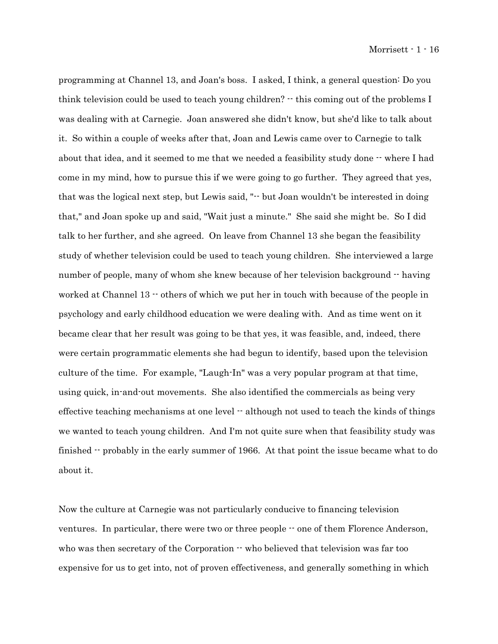programming at Channel 13, and Joan's boss. I asked, I think, a general question: Do you think television could be used to teach young children? -- this coming out of the problems I was dealing with at Carnegie. Joan answered she didn't know, but she'd like to talk about it. So within a couple of weeks after that, Joan and Lewis came over to Carnegie to talk about that idea, and it seemed to me that we needed a feasibility study done  $\cdot\cdot$  where I had come in my mind, how to pursue this if we were going to go further. They agreed that yes, that was the logical next step, but Lewis said, "-- but Joan wouldn't be interested in doing that," and Joan spoke up and said, "Wait just a minute." She said she might be. So I did talk to her further, and she agreed. On leave from Channel 13 she began the feasibility study of whether television could be used to teach young children. She interviewed a large number of people, many of whom she knew because of her television background  $\cdot$  having worked at Channel  $13 - \text{others of which we put her in touch with because of the people in}$ psychology and early childhood education we were dealing with. And as time went on it became clear that her result was going to be that yes, it was feasible, and, indeed, there were certain programmatic elements she had begun to identify, based upon the television culture of the time. For example, "Laugh-In" was a very popular program at that time, using quick, in-and-out movements. She also identified the commercials as being very effective teaching mechanisms at one level  $\cdot$  although not used to teach the kinds of things we wanted to teach young children. And I'm not quite sure when that feasibility study was finished  $\cdot$  probably in the early summer of 1966. At that point the issue became what to do about it.

Now the culture at Carnegie was not particularly conducive to financing television ventures. In particular, there were two or three people  $\cdot \cdot$  one of them Florence Anderson, who was then secretary of the Corporation  $\cdot\cdot$  who believed that television was far too expensive for us to get into, not of proven effectiveness, and generally something in which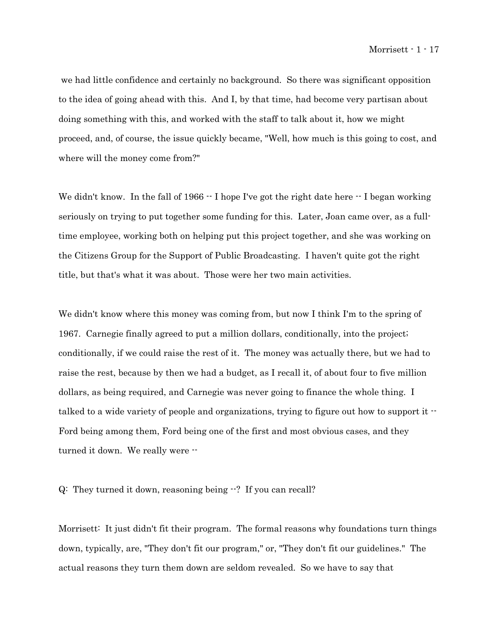we had little confidence and certainly no background. So there was significant opposition to the idea of going ahead with this. And I, by that time, had become very partisan about doing something with this, and worked with the staff to talk about it, how we might proceed, and, of course, the issue quickly became, "Well, how much is this going to cost, and where will the money come from?"

We didn't know. In the fall of 1966  $\cdot \cdot$  I hope I've got the right date here  $\cdot \cdot$  I began working seriously on trying to put together some funding for this. Later, Joan came over, as a fulltime employee, working both on helping put this project together, and she was working on the Citizens Group for the Support of Public Broadcasting. I haven't quite got the right title, but that's what it was about. Those were her two main activities.

We didn't know where this money was coming from, but now I think I'm to the spring of 1967. Carnegie finally agreed to put a million dollars, conditionally, into the project; conditionally, if we could raise the rest of it. The money was actually there, but we had to raise the rest, because by then we had a budget, as I recall it, of about four to five million dollars, as being required, and Carnegie was never going to finance the whole thing. I talked to a wide variety of people and organizations, trying to figure out how to support it  $\cdot$ Ford being among them, Ford being one of the first and most obvious cases, and they turned it down. We really were --

Q: They turned it down, reasoning being --? If you can recall?

Morrisett: It just didn't fit their program. The formal reasons why foundations turn things down, typically, are, "They don't fit our program," or, "They don't fit our guidelines." The actual reasons they turn them down are seldom revealed. So we have to say that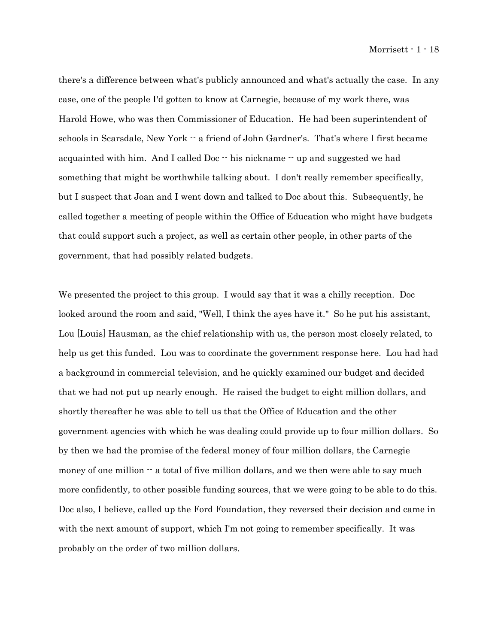there's a difference between what's publicly announced and what's actually the case. In any case, one of the people I'd gotten to know at Carnegie, because of my work there, was Harold Howe, who was then Commissioner of Education. He had been superintendent of schools in Scarsdale, New York -- a friend of John Gardner's. That's where I first became acquainted with him. And I called Doc  $\cdot$  his nickname  $\cdot$  up and suggested we had something that might be worthwhile talking about. I don't really remember specifically, but I suspect that Joan and I went down and talked to Doc about this. Subsequently, he called together a meeting of people within the Office of Education who might have budgets that could support such a project, as well as certain other people, in other parts of the government, that had possibly related budgets.

We presented the project to this group. I would say that it was a chilly reception. Doc looked around the room and said, "Well, I think the ayes have it." So he put his assistant, Lou [Louis] Hausman, as the chief relationship with us, the person most closely related, to help us get this funded. Lou was to coordinate the government response here. Lou had had a background in commercial television, and he quickly examined our budget and decided that we had not put up nearly enough. He raised the budget to eight million dollars, and shortly thereafter he was able to tell us that the Office of Education and the other government agencies with which he was dealing could provide up to four million dollars. So by then we had the promise of the federal money of four million dollars, the Carnegie money of one million  $-$  a total of five million dollars, and we then were able to say much more confidently, to other possible funding sources, that we were going to be able to do this. Doc also, I believe, called up the Ford Foundation, they reversed their decision and came in with the next amount of support, which I'm not going to remember specifically. It was probably on the order of two million dollars.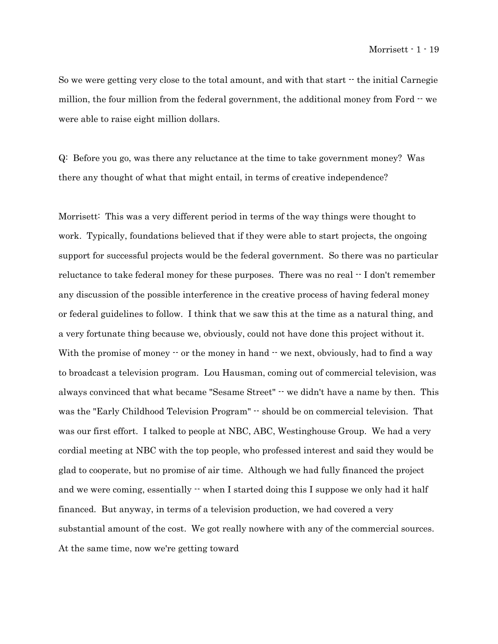So we were getting very close to the total amount, and with that start  $\cdot$  the initial Carnegie million, the four million from the federal government, the additional money from Ford  $\cdot$  we were able to raise eight million dollars.

Q: Before you go, was there any reluctance at the time to take government money? Was there any thought of what that might entail, in terms of creative independence?

Morrisett: This was a very different period in terms of the way things were thought to work. Typically, foundations believed that if they were able to start projects, the ongoing support for successful projects would be the federal government. So there was no particular reluctance to take federal money for these purposes. There was no real  $\cdot$  I don't remember any discussion of the possible interference in the creative process of having federal money or federal guidelines to follow. I think that we saw this at the time as a natural thing, and a very fortunate thing because we, obviously, could not have done this project without it. With the promise of money  $\cdot \cdot$  or the money in hand  $\cdot \cdot$  we next, obviously, had to find a way to broadcast a television program. Lou Hausman, coming out of commercial television, was always convinced that what became "Sesame Street" -- we didn't have a name by then. This was the "Early Childhood Television Program"  $\cdot$  should be on commercial television. That was our first effort. I talked to people at NBC, ABC, Westinghouse Group. We had a very cordial meeting at NBC with the top people, who professed interest and said they would be glad to cooperate, but no promise of air time. Although we had fully financed the project and we were coming, essentially  $\cdot\cdot$  when I started doing this I suppose we only had it half financed. But anyway, in terms of a television production, we had covered a very substantial amount of the cost. We got really nowhere with any of the commercial sources. At the same time, now we're getting toward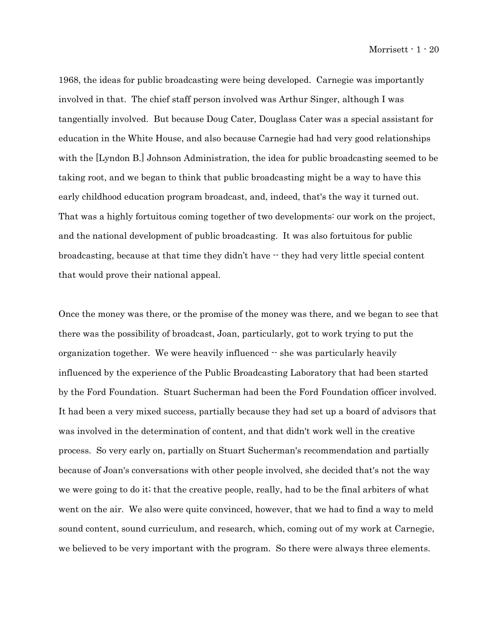1968, the ideas for public broadcasting were being developed. Carnegie was importantly involved in that. The chief staff person involved was Arthur Singer, although I was tangentially involved. But because Doug Cater, Douglass Cater was a special assistant for education in the White House, and also because Carnegie had had very good relationships with the [Lyndon B.] Johnson Administration, the idea for public broadcasting seemed to be taking root, and we began to think that public broadcasting might be a way to have this early childhood education program broadcast, and, indeed, that's the way it turned out. That was a highly fortuitous coming together of two developments: our work on the project, and the national development of public broadcasting. It was also fortuitous for public broadcasting, because at that time they didn't have -- they had very little special content that would prove their national appeal.

Once the money was there, or the promise of the money was there, and we began to see that there was the possibility of broadcast, Joan, particularly, got to work trying to put the organization together. We were heavily influenced -- she was particularly heavily influenced by the experience of the Public Broadcasting Laboratory that had been started by the Ford Foundation. Stuart Sucherman had been the Ford Foundation officer involved. It had been a very mixed success, partially because they had set up a board of advisors that was involved in the determination of content, and that didn't work well in the creative process. So very early on, partially on Stuart Sucherman's recommendation and partially because of Joan's conversations with other people involved, she decided that's not the way we were going to do it; that the creative people, really, had to be the final arbiters of what went on the air. We also were quite convinced, however, that we had to find a way to meld sound content, sound curriculum, and research, which, coming out of my work at Carnegie, we believed to be very important with the program. So there were always three elements.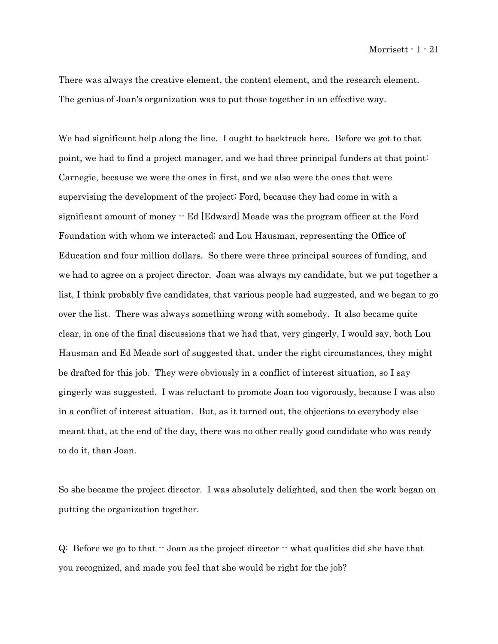There was always the creative element, the content element, and the research element. The genius of Joan's organization was to put those together in an effective way.

We had significant help along the line. I ought to backtrack here. Before we got to that point, we had to find a project manager, and we had three principal funders at that point: Carnegie, because we were the ones in first, and we also were the ones that were supervising the development of the project; Ford, because they had come in with a significant amount of money -- Ed [Edward] Meade was the program officer at the Ford Foundation with whom we interacted; and Lou Hausman, representing the Office of Education and four million dollars. So there were three principal sources of funding, and we had to agree on a project director. Joan was always my candidate, but we put together a list, I think probably five candidates, that various people had suggested, and we began to go over the list. There was always something wrong with somebody. It also became quite clear, in one of the final discussions that we had that, very gingerly, I would say, both Lou Hausman and Ed Meade sort of suggested that, under the right circumstances, they might be drafted for this job. They were obviously in a conflict of interest situation, so I say gingerly was suggested. I was reluctant to promote Joan too vigorously, because I was also in a conflict of interest situation. But, as it turned out, the objections to everybody else meant that, at the end of the day, there was no other really good candidate who was ready to do it, than Joan.

So she became the project director. I was absolutely delighted, and then the work began on putting the organization together.

 $Q:$  Before we go to that  $\cdot \cdot$  Joan as the project director  $\cdot \cdot$  what qualities did she have that you recognized, and made you feel that she would be right for the job?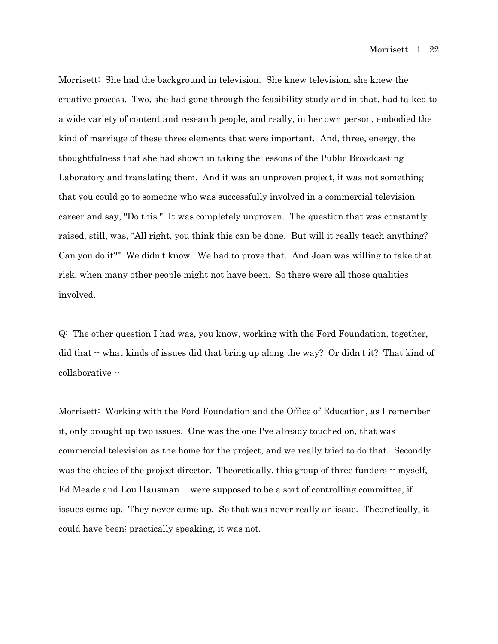Morrisett: She had the background in television. She knew television, she knew the creative process. Two, she had gone through the feasibility study and in that, had talked to a wide variety of content and research people, and really, in her own person, embodied the kind of marriage of these three elements that were important. And, three, energy, the thoughtfulness that she had shown in taking the lessons of the Public Broadcasting Laboratory and translating them. And it was an unproven project, it was not something that you could go to someone who was successfully involved in a commercial television career and say, "Do this." It was completely unproven. The question that was constantly raised, still, was, "All right, you think this can be done. But will it really teach anything? Can you do it?" We didn't know. We had to prove that. And Joan was willing to take that risk, when many other people might not have been. So there were all those qualities involved.

Q: The other question I had was, you know, working with the Ford Foundation, together, did that -- what kinds of issues did that bring up along the way? Or didn't it? That kind of collaborative --

Morrisett: Working with the Ford Foundation and the Office of Education, as I remember it, only brought up two issues. One was the one I've already touched on, that was commercial television as the home for the project, and we really tried to do that. Secondly was the choice of the project director. Theoretically, this group of three funders  $-$  myself, Ed Meade and Lou Hausman  $\cdot \cdot$  were supposed to be a sort of controlling committee, if issues came up. They never came up. So that was never really an issue. Theoretically, it could have been; practically speaking, it was not.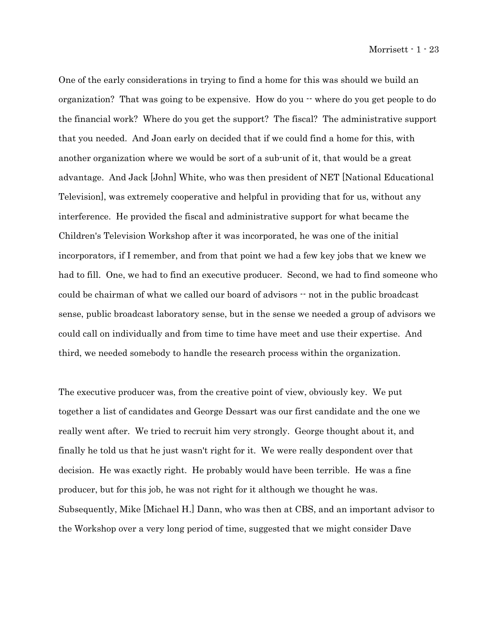One of the early considerations in trying to find a home for this was should we build an organization? That was going to be expensive. How do you  $\cdot\cdot$  where do you get people to do the financial work? Where do you get the support? The fiscal? The administrative support that you needed. And Joan early on decided that if we could find a home for this, with another organization where we would be sort of a sub-unit of it, that would be a great advantage. And Jack [John] White, who was then president of NET [National Educational Television], was extremely cooperative and helpful in providing that for us, without any interference. He provided the fiscal and administrative support for what became the Children's Television Workshop after it was incorporated, he was one of the initial incorporators, if I remember, and from that point we had a few key jobs that we knew we had to fill. One, we had to find an executive producer. Second, we had to find someone who could be chairman of what we called our board of advisors -- not in the public broadcast sense, public broadcast laboratory sense, but in the sense we needed a group of advisors we could call on individually and from time to time have meet and use their expertise. And third, we needed somebody to handle the research process within the organization.

The executive producer was, from the creative point of view, obviously key. We put together a list of candidates and George Dessart was our first candidate and the one we really went after. We tried to recruit him very strongly. George thought about it, and finally he told us that he just wasn't right for it. We were really despondent over that decision. He was exactly right. He probably would have been terrible. He was a fine producer, but for this job, he was not right for it although we thought he was. Subsequently, Mike [Michael H.] Dann, who was then at CBS, and an important advisor to the Workshop over a very long period of time, suggested that we might consider Dave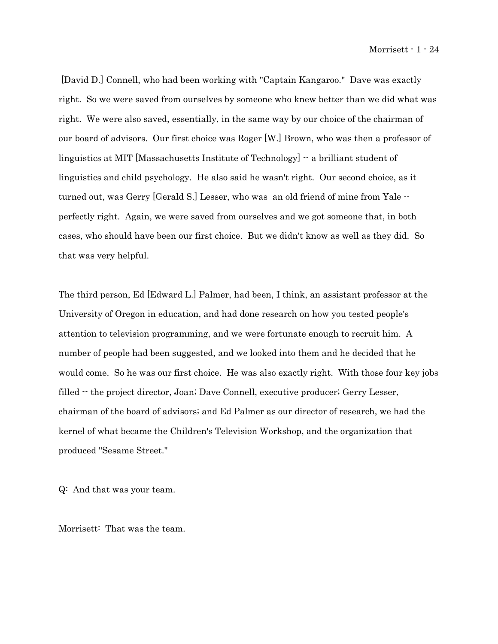[David D.] Connell, who had been working with "Captain Kangaroo." Dave was exactly right. So we were saved from ourselves by someone who knew better than we did what was right. We were also saved, essentially, in the same way by our choice of the chairman of our board of advisors. Our first choice was Roger [W.] Brown, who was then a professor of linguistics at MIT [Massachusetts Institute of Technology] -- a brilliant student of linguistics and child psychology. He also said he wasn't right. Our second choice, as it turned out, was Gerry [Gerald S.] Lesser, who was an old friend of mine from Yale  $\cdot$ perfectly right. Again, we were saved from ourselves and we got someone that, in both cases, who should have been our first choice. But we didn't know as well as they did. So that was very helpful.

The third person, Ed [Edward L.] Palmer, had been, I think, an assistant professor at the University of Oregon in education, and had done research on how you tested people's attention to television programming, and we were fortunate enough to recruit him. A number of people had been suggested, and we looked into them and he decided that he would come. So he was our first choice. He was also exactly right. With those four key jobs filled -- the project director, Joan; Dave Connell, executive producer; Gerry Lesser, chairman of the board of advisors; and Ed Palmer as our director of research, we had the kernel of what became the Children's Television Workshop, and the organization that produced "Sesame Street."

Q: And that was your team.

Morrisett: That was the team.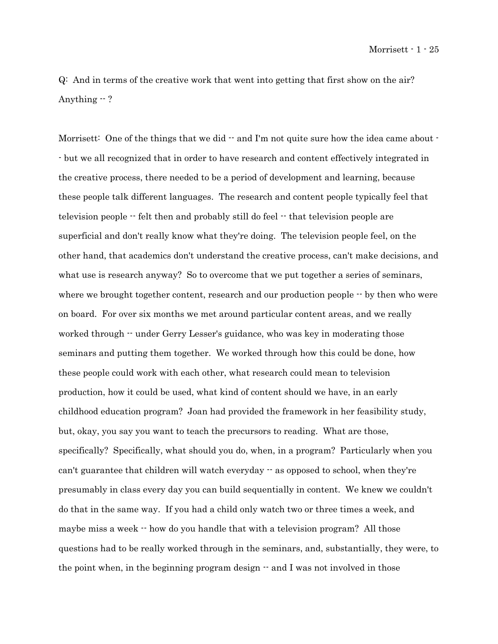Morrisett - 1 - 25

Q: And in terms of the creative work that went into getting that first show on the air? Anything -- ?

Morrisett: One of the things that we did  $\cdot$  and I'm not quite sure how the idea came about  $\cdot$ - but we all recognized that in order to have research and content effectively integrated in the creative process, there needed to be a period of development and learning, because these people talk different languages. The research and content people typically feel that television people  $-$  felt then and probably still do feel  $-$  that television people are superficial and don't really know what they're doing. The television people feel, on the other hand, that academics don't understand the creative process, can't make decisions, and what use is research anyway? So to overcome that we put together a series of seminars, where we brought together content, research and our production people  $\cdot$  by then who were on board. For over six months we met around particular content areas, and we really worked through  $\cdot$  under Gerry Lesser's guidance, who was key in moderating those seminars and putting them together. We worked through how this could be done, how these people could work with each other, what research could mean to television production, how it could be used, what kind of content should we have, in an early childhood education program? Joan had provided the framework in her feasibility study, but, okay, you say you want to teach the precursors to reading. What are those, specifically? Specifically, what should you do, when, in a program? Particularly when you can't guarantee that children will watch everyday  $\cdot$  as opposed to school, when they're presumably in class every day you can build sequentially in content. We knew we couldn't do that in the same way. If you had a child only watch two or three times a week, and maybe miss a week  $\cdot$  how do you handle that with a television program? All those questions had to be really worked through in the seminars, and, substantially, they were, to the point when, in the beginning program design  $\cdot$  and I was not involved in those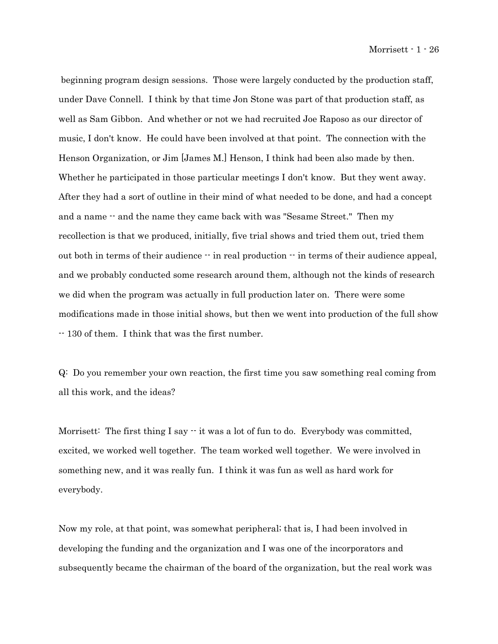beginning program design sessions. Those were largely conducted by the production staff, under Dave Connell. I think by that time Jon Stone was part of that production staff, as well as Sam Gibbon. And whether or not we had recruited Joe Raposo as our director of music, I don't know. He could have been involved at that point. The connection with the Henson Organization, or Jim [James M.] Henson, I think had been also made by then. Whether he participated in those particular meetings I don't know. But they went away. After they had a sort of outline in their mind of what needed to be done, and had a concept and a name  $-$  and the name they came back with was "Sesame Street." Then my recollection is that we produced, initially, five trial shows and tried them out, tried them out both in terms of their audience  $\cdot$  in real production  $\cdot$  in terms of their audience appeal, and we probably conducted some research around them, although not the kinds of research we did when the program was actually in full production later on. There were some modifications made in those initial shows, but then we went into production of the full show -- 130 of them. I think that was the first number.

Q: Do you remember your own reaction, the first time you saw something real coming from all this work, and the ideas?

Morrisett: The first thing I say  $\cdot \cdot$  it was a lot of fun to do. Everybody was committed, excited, we worked well together. The team worked well together. We were involved in something new, and it was really fun. I think it was fun as well as hard work for everybody.

Now my role, at that point, was somewhat peripheral; that is, I had been involved in developing the funding and the organization and I was one of the incorporators and subsequently became the chairman of the board of the organization, but the real work was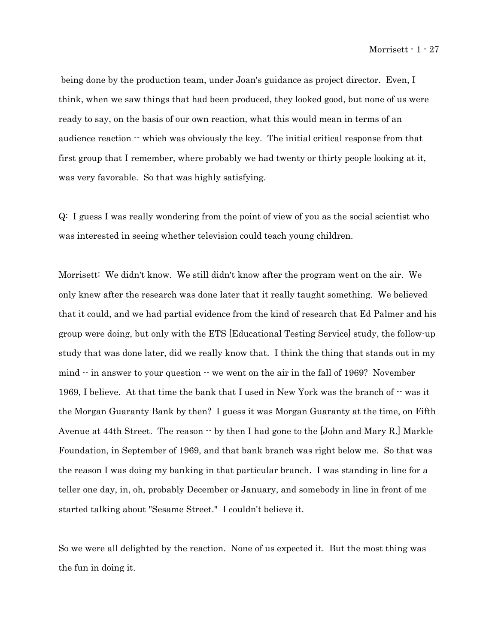being done by the production team, under Joan's guidance as project director. Even, I think, when we saw things that had been produced, they looked good, but none of us were ready to say, on the basis of our own reaction, what this would mean in terms of an audience reaction  $-$  which was obviously the key. The initial critical response from that first group that I remember, where probably we had twenty or thirty people looking at it, was very favorable. So that was highly satisfying.

Q: I guess I was really wondering from the point of view of you as the social scientist who was interested in seeing whether television could teach young children.

Morrisett: We didn't know. We still didn't know after the program went on the air. We only knew after the research was done later that it really taught something. We believed that it could, and we had partial evidence from the kind of research that Ed Palmer and his group were doing, but only with the ETS [Educational Testing Service] study, the follow-up study that was done later, did we really know that. I think the thing that stands out in my mind  $\cdot$  in answer to your question  $\cdot$  we went on the air in the fall of 1969? November 1969, I believe. At that time the bank that I used in New York was the branch of -- was it the Morgan Guaranty Bank by then? I guess it was Morgan Guaranty at the time, on Fifth Avenue at 44th Street. The reason  $\cdot \cdot$  by then I had gone to the [John and Mary R.] Markle Foundation, in September of 1969, and that bank branch was right below me. So that was the reason I was doing my banking in that particular branch. I was standing in line for a teller one day, in, oh, probably December or January, and somebody in line in front of me started talking about "Sesame Street." I couldn't believe it.

So we were all delighted by the reaction. None of us expected it. But the most thing was the fun in doing it.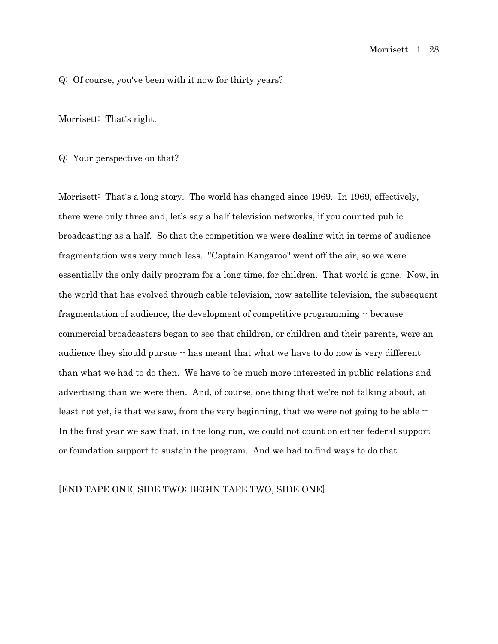Q: Of course, you've been with it now for thirty years?

Morrisett: That's right.

#### Q: Your perspective on that?

Morrisett: That's a long story. The world has changed since 1969. In 1969, effectively, there were only three and, let's say a half television networks, if you counted public broadcasting as a half. So that the competition we were dealing with in terms of audience fragmentation was very much less. "Captain Kangaroo" went off the air, so we were essentially the only daily program for a long time, for children. That world is gone. Now, in the world that has evolved through cable television, now satellite television, the subsequent fragmentation of audience, the development of competitive programming -- because commercial broadcasters began to see that children, or children and their parents, were an audience they should pursue  $\cdot$  has meant that what we have to do now is very different than what we had to do then. We have to be much more interested in public relations and advertising than we were then. And, of course, one thing that we're not talking about, at least not yet, is that we saw, from the very beginning, that we were not going to be able  $-$ In the first year we saw that, in the long run, we could not count on either federal support or foundation support to sustain the program. And we had to find ways to do that.

### [END TAPE ONE, SIDE TWO; BEGIN TAPE TWO, SIDE ONE]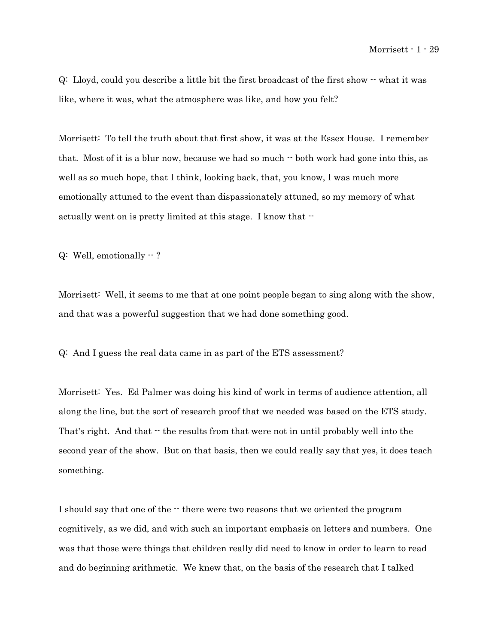$Q: Lloyd$ , could you describe a little bit the first broadcast of the first show  $\cdot$  what it was like, where it was, what the atmosphere was like, and how you felt?

Morrisett: To tell the truth about that first show, it was at the Essex House. I remember that. Most of it is a blur now, because we had so much -- both work had gone into this, as well as so much hope, that I think, looking back, that, you know, I was much more emotionally attuned to the event than dispassionately attuned, so my memory of what actually went on is pretty limited at this stage. I know that  $\cdot$ 

Q: Well, emotionally -- ?

Morrisett: Well, it seems to me that at one point people began to sing along with the show, and that was a powerful suggestion that we had done something good.

Q: And I guess the real data came in as part of the ETS assessment?

Morrisett: Yes. Ed Palmer was doing his kind of work in terms of audience attention, all along the line, but the sort of research proof that we needed was based on the ETS study. That's right. And that  $\cdot$  the results from that were not in until probably well into the second year of the show. But on that basis, then we could really say that yes, it does teach something.

I should say that one of the  $\cdot\cdot$  there were two reasons that we oriented the program cognitively, as we did, and with such an important emphasis on letters and numbers. One was that those were things that children really did need to know in order to learn to read and do beginning arithmetic. We knew that, on the basis of the research that I talked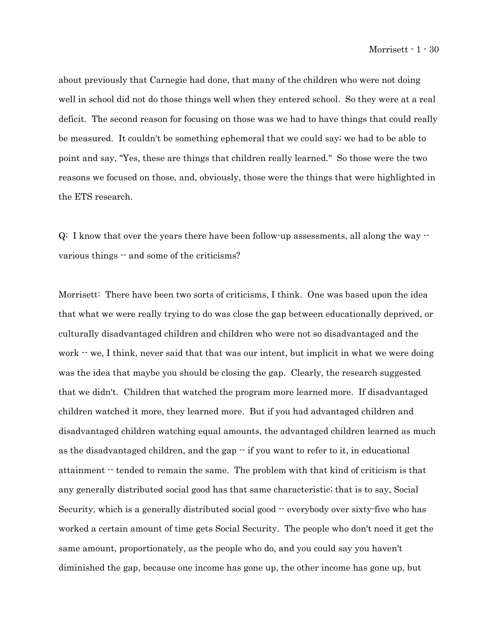about previously that Carnegie had done, that many of the children who were not doing well in school did not do those things well when they entered school. So they were at a real deficit. The second reason for focusing on those was we had to have things that could really be measured. It couldn't be something ephemeral that we could say; we had to be able to point and say, "Yes, these are things that children really learned." So those were the two reasons we focused on those, and, obviously, those were the things that were highlighted in the ETS research.

 $Q: I$  know that over the years there have been follow-up assessments, all along the way  $\cdot$ various things -- and some of the criticisms?

Morrisett: There have been two sorts of criticisms, I think. One was based upon the idea that what we were really trying to do was close the gap between educationally deprived, or culturally disadvantaged children and children who were not so disadvantaged and the work  $\cdot$  we, I think, never said that that was our intent, but implicit in what we were doing was the idea that maybe you should be closing the gap. Clearly, the research suggested that we didn't. Children that watched the program more learned more. If disadvantaged children watched it more, they learned more. But if you had advantaged children and disadvantaged children watching equal amounts, the advantaged children learned as much as the disadvantaged children, and the gap  $-$  if you want to refer to it, in educational attainment  $\cdot$  tended to remain the same. The problem with that kind of criticism is that any generally distributed social good has that same characteristic; that is to say, Social Security, which is a generally distributed social good  $-$  everybody over sixty-five who has worked a certain amount of time gets Social Security. The people who don't need it get the same amount, proportionately, as the people who do, and you could say you haven't diminished the gap, because one income has gone up, the other income has gone up, but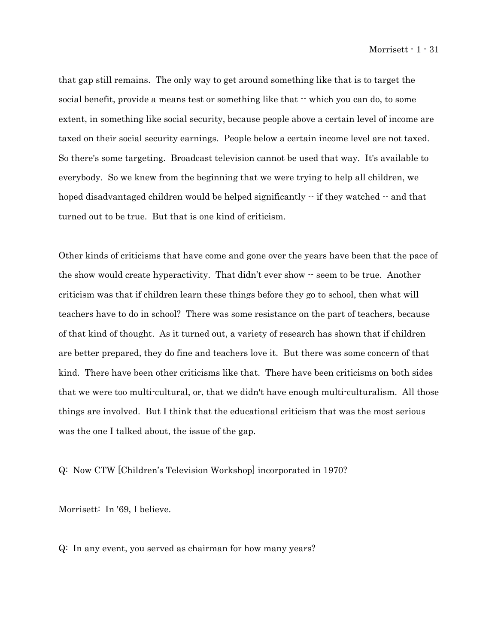that gap still remains. The only way to get around something like that is to target the social benefit, provide a means test or something like that  $\cdot$  which you can do, to some extent, in something like social security, because people above a certain level of income are taxed on their social security earnings. People below a certain income level are not taxed. So there's some targeting. Broadcast television cannot be used that way. It's available to everybody. So we knew from the beginning that we were trying to help all children, we hoped disadvantaged children would be helped significantly  $\cdot$  if they watched  $\cdot$  and that turned out to be true. But that is one kind of criticism.

Other kinds of criticisms that have come and gone over the years have been that the pace of the show would create hyperactivity. That didn't ever show  $\cdot$  seem to be true. Another criticism was that if children learn these things before they go to school, then what will teachers have to do in school? There was some resistance on the part of teachers, because of that kind of thought. As it turned out, a variety of research has shown that if children are better prepared, they do fine and teachers love it. But there was some concern of that kind. There have been other criticisms like that. There have been criticisms on both sides that we were too multi-cultural, or, that we didn't have enough multi-culturalism. All those things are involved. But I think that the educational criticism that was the most serious was the one I talked about, the issue of the gap.

Q: Now CTW [Children's Television Workshop] incorporated in 1970?

Morrisett: In '69, I believe.

Q: In any event, you served as chairman for how many years?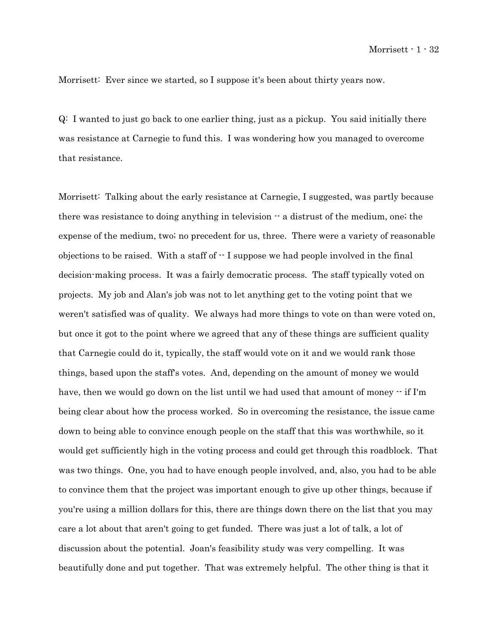Morrisett: Ever since we started, so I suppose it's been about thirty years now.

Q: I wanted to just go back to one earlier thing, just as a pickup. You said initially there was resistance at Carnegie to fund this. I was wondering how you managed to overcome that resistance.

Morrisett: Talking about the early resistance at Carnegie, I suggested, was partly because there was resistance to doing anything in television  $\cdot$  a distrust of the medium, one; the expense of the medium, two; no precedent for us, three. There were a variety of reasonable objections to be raised. With a staff of  $\cdot$ - I suppose we had people involved in the final decision-making process. It was a fairly democratic process. The staff typically voted on projects. My job and Alan's job was not to let anything get to the voting point that we weren't satisfied was of quality. We always had more things to vote on than were voted on, but once it got to the point where we agreed that any of these things are sufficient quality that Carnegie could do it, typically, the staff would vote on it and we would rank those things, based upon the staff's votes. And, depending on the amount of money we would have, then we would go down on the list until we had used that amount of money  $\cdot$  if I'm being clear about how the process worked. So in overcoming the resistance, the issue came down to being able to convince enough people on the staff that this was worthwhile, so it would get sufficiently high in the voting process and could get through this roadblock. That was two things. One, you had to have enough people involved, and, also, you had to be able to convince them that the project was important enough to give up other things, because if you're using a million dollars for this, there are things down there on the list that you may care a lot about that aren't going to get funded. There was just a lot of talk, a lot of discussion about the potential. Joan's feasibility study was very compelling. It was beautifully done and put together. That was extremely helpful. The other thing is that it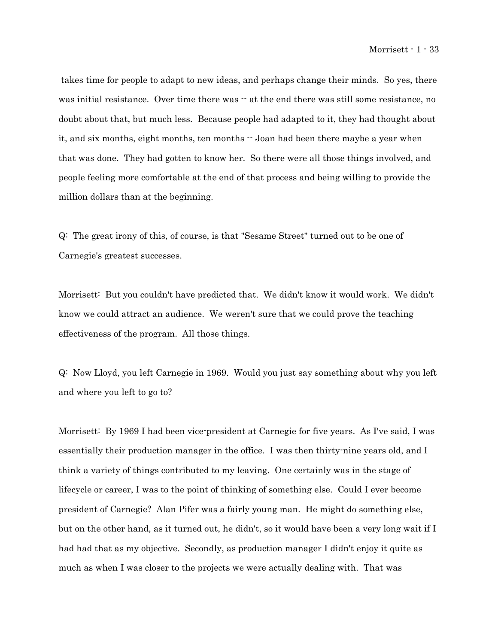takes time for people to adapt to new ideas, and perhaps change their minds. So yes, there was initial resistance. Over time there was  $-$  at the end there was still some resistance, no doubt about that, but much less. Because people had adapted to it, they had thought about it, and six months, eight months, ten months  $-$  Joan had been there maybe a year when that was done. They had gotten to know her. So there were all those things involved, and people feeling more comfortable at the end of that process and being willing to provide the million dollars than at the beginning.

Q: The great irony of this, of course, is that "Sesame Street" turned out to be one of Carnegie's greatest successes.

Morrisett: But you couldn't have predicted that. We didn't know it would work. We didn't know we could attract an audience. We weren't sure that we could prove the teaching effectiveness of the program. All those things.

Q: Now Lloyd, you left Carnegie in 1969. Would you just say something about why you left and where you left to go to?

Morrisett: By 1969 I had been vice-president at Carnegie for five years. As I've said, I was essentially their production manager in the office. I was then thirty-nine years old, and I think a variety of things contributed to my leaving. One certainly was in the stage of lifecycle or career, I was to the point of thinking of something else. Could I ever become president of Carnegie? Alan Pifer was a fairly young man. He might do something else, but on the other hand, as it turned out, he didn't, so it would have been a very long wait if I had had that as my objective. Secondly, as production manager I didn't enjoy it quite as much as when I was closer to the projects we were actually dealing with. That was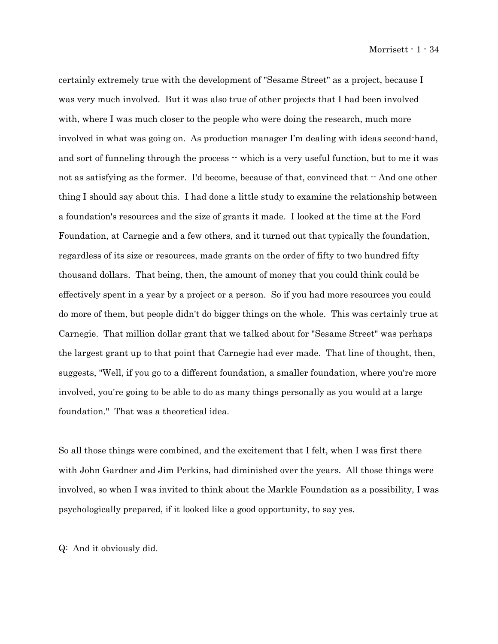certainly extremely true with the development of "Sesame Street" as a project, because I was very much involved. But it was also true of other projects that I had been involved with, where I was much closer to the people who were doing the research, much more involved in what was going on. As production manager I'm dealing with ideas second-hand, and sort of funneling through the process  $\cdot\cdot$  which is a very useful function, but to me it was not as satisfying as the former. I'd become, because of that, convinced that  $-$  And one other thing I should say about this. I had done a little study to examine the relationship between a foundation's resources and the size of grants it made. I looked at the time at the Ford Foundation, at Carnegie and a few others, and it turned out that typically the foundation, regardless of its size or resources, made grants on the order of fifty to two hundred fifty thousand dollars. That being, then, the amount of money that you could think could be effectively spent in a year by a project or a person. So if you had more resources you could do more of them, but people didn't do bigger things on the whole. This was certainly true at Carnegie. That million dollar grant that we talked about for "Sesame Street" was perhaps the largest grant up to that point that Carnegie had ever made. That line of thought, then, suggests, "Well, if you go to a different foundation, a smaller foundation, where you're more involved, you're going to be able to do as many things personally as you would at a large foundation." That was a theoretical idea.

So all those things were combined, and the excitement that I felt, when I was first there with John Gardner and Jim Perkins, had diminished over the years. All those things were involved, so when I was invited to think about the Markle Foundation as a possibility, I was psychologically prepared, if it looked like a good opportunity, to say yes.

Q: And it obviously did.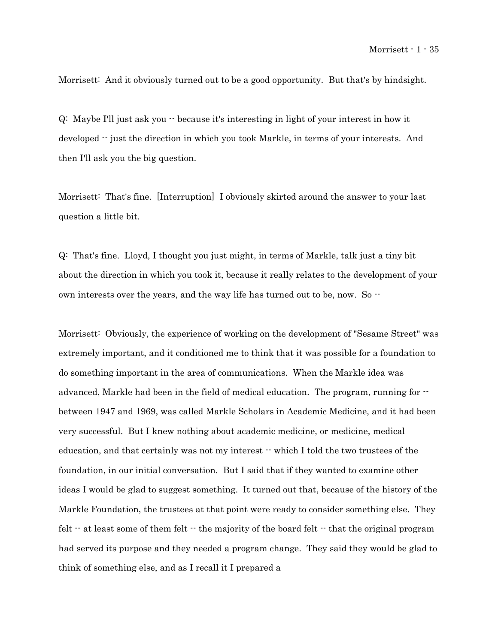Morrisett: And it obviously turned out to be a good opportunity. But that's by hindsight.

Q: Maybe I'll just ask you -- because it's interesting in light of your interest in how it developed -- just the direction in which you took Markle, in terms of your interests. And then I'll ask you the big question.

Morrisett: That's fine. [Interruption] I obviously skirted around the answer to your last question a little bit.

Q: That's fine. Lloyd, I thought you just might, in terms of Markle, talk just a tiny bit about the direction in which you took it, because it really relates to the development of your own interests over the years, and the way life has turned out to be, now. So --

Morrisett: Obviously, the experience of working on the development of "Sesame Street" was extremely important, and it conditioned me to think that it was possible for a foundation to do something important in the area of communications. When the Markle idea was advanced, Markle had been in the field of medical education. The program, running for  $\cdot$ between 1947 and 1969, was called Markle Scholars in Academic Medicine, and it had been very successful. But I knew nothing about academic medicine, or medicine, medical education, and that certainly was not my interest  $\cdot$  which I told the two trustees of the foundation, in our initial conversation. But I said that if they wanted to examine other ideas I would be glad to suggest something. It turned out that, because of the history of the Markle Foundation, the trustees at that point were ready to consider something else. They felt  $\cdot$  at least some of them felt  $\cdot \cdot$  the majority of the board felt  $\cdot \cdot$  that the original program had served its purpose and they needed a program change. They said they would be glad to think of something else, and as I recall it I prepared a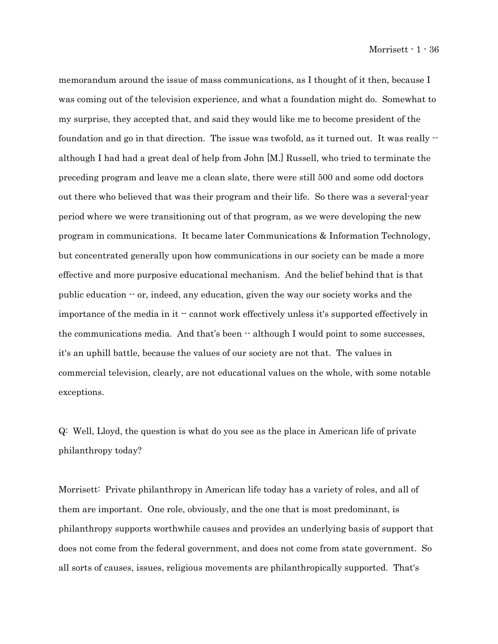memorandum around the issue of mass communications, as I thought of it then, because I was coming out of the television experience, and what a foundation might do. Somewhat to my surprise, they accepted that, and said they would like me to become president of the foundation and go in that direction. The issue was twofold, as it turned out. It was really  $\cdot$ although I had had a great deal of help from John [M.] Russell, who tried to terminate the preceding program and leave me a clean slate, there were still 500 and some odd doctors out there who believed that was their program and their life. So there was a several-year period where we were transitioning out of that program, as we were developing the new program in communications. It became later Communications & Information Technology, but concentrated generally upon how communications in our society can be made a more effective and more purposive educational mechanism. And the belief behind that is that public education  $\cdot$  or, indeed, any education, given the way our society works and the importance of the media in it  $\cdot$  cannot work effectively unless it's supported effectively in the communications media. And that's been  $\cdot$  although I would point to some successes, it's an uphill battle, because the values of our society are not that. The values in commercial television, clearly, are not educational values on the whole, with some notable exceptions.

Q: Well, Lloyd, the question is what do you see as the place in American life of private philanthropy today?

Morrisett: Private philanthropy in American life today has a variety of roles, and all of them are important. One role, obviously, and the one that is most predominant, is philanthropy supports worthwhile causes and provides an underlying basis of support that does not come from the federal government, and does not come from state government. So all sorts of causes, issues, religious movements are philanthropically supported. That's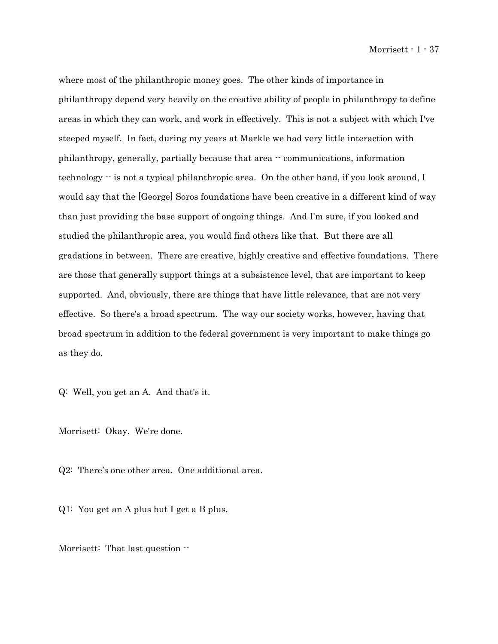where most of the philanthropic money goes. The other kinds of importance in philanthropy depend very heavily on the creative ability of people in philanthropy to define areas in which they can work, and work in effectively. This is not a subject with which I've steeped myself. In fact, during my years at Markle we had very little interaction with philanthropy, generally, partially because that area -- communications, information technology  $-$  is not a typical philanthropic area. On the other hand, if you look around, I would say that the [George] Soros foundations have been creative in a different kind of way than just providing the base support of ongoing things. And I'm sure, if you looked and studied the philanthropic area, you would find others like that. But there are all gradations in between. There are creative, highly creative and effective foundations. There are those that generally support things at a subsistence level, that are important to keep supported. And, obviously, there are things that have little relevance, that are not very effective. So there's a broad spectrum. The way our society works, however, having that broad spectrum in addition to the federal government is very important to make things go as they do.

Q: Well, you get an A. And that's it.

Morrisett: Okay. We're done.

Q2: There's one other area. One additional area.

Q1: You get an A plus but I get a B plus.

Morrisett: That last question  $\cdot$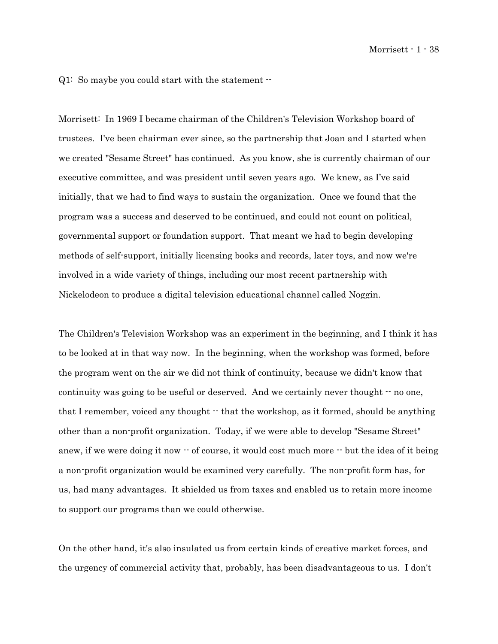$Q1:$  So maybe you could start with the statement  $\cdot$ 

Morrisett: In 1969 I became chairman of the Children's Television Workshop board of trustees. I've been chairman ever since, so the partnership that Joan and I started when we created "Sesame Street" has continued. As you know, she is currently chairman of our executive committee, and was president until seven years ago. We knew, as I've said initially, that we had to find ways to sustain the organization. Once we found that the program was a success and deserved to be continued, and could not count on political, governmental support or foundation support. That meant we had to begin developing methods of self-support, initially licensing books and records, later toys, and now we're involved in a wide variety of things, including our most recent partnership with Nickelodeon to produce a digital television educational channel called Noggin.

The Children's Television Workshop was an experiment in the beginning, and I think it has to be looked at in that way now. In the beginning, when the workshop was formed, before the program went on the air we did not think of continuity, because we didn't know that continuity was going to be useful or deserved. And we certainly never thought  $-$  no one, that I remember, voiced any thought  $\cdot$  that the workshop, as it formed, should be anything other than a non-profit organization. Today, if we were able to develop "Sesame Street" anew, if we were doing it now  $\cdot \cdot$  of course, it would cost much more  $\cdot \cdot$  but the idea of it being a non-profit organization would be examined very carefully. The non-profit form has, for us, had many advantages. It shielded us from taxes and enabled us to retain more income to support our programs than we could otherwise.

On the other hand, it's also insulated us from certain kinds of creative market forces, and the urgency of commercial activity that, probably, has been disadvantageous to us. I don't